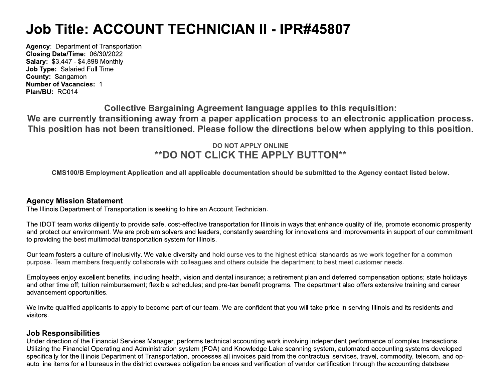# **Job Title: ACCOUNT TECHNICIAN II - IPR#45807**

**Agency: Department of Transportation** Closing Date/Time: 06/30/2022 **Salary: \$3,447 - \$4,898 Monthly** Job Type: Salaried Full Time County: Sangamon **Number of Vacancies: 1** Plan/BU: RC014

**Collective Bargaining Agreement language applies to this requisition:** We are currently transitioning away from a paper application process to an electronic application process. This position has not been transitioned. Please follow the directions below when applying to this position.

## **DO NOT APPLY ONLINE \*\*DO NOT CLICK THE APPLY BUTTON\*\***

CMS100/B Employment Application and all applicable documentation should be submitted to the Agency contact listed below.

#### **Agency Mission Statement**

The Illinois Department of Transportation is seeking to hire an Account Technician.

The IDOT team works diligently to provide safe, cost-effective transportation for Illinois in ways that enhance quality of life, promote economic prosperity and protect our environment. We are problem solvers and leaders, constantly searching for innovations and improvements in support of our commitment to providing the best multimodal transportation system for Illinois.

Our team fosters a culture of inclusivity. We value diversity and hold ourselves to the highest ethical standards as we work together for a common purpose. Team members frequently collaborate with colleagues and others outside the department to best meet customer needs.

Employees enjoy excellent benefits, including health, vision and dental insurance; a retirement plan and deferred compensation options; state holidays and other time off; tuition reimbursement; flexible schedules; and pre-tax benefit programs. The department also offers extensive training and career advancement opportunities.

We invite qualified applicants to apply to become part of our team. We are confident that you will take pride in serving Illinois and its residents and visitors.

#### **Job Responsibilities**

Under direction of the Financial Services Manager, performs technical accounting work involving independent performance of complex transactions. Utilizing the Financial Operating and Administration system (FOA) and Knowledge Lake scanning system, automated accounting systems developed specifically for the Illinois Department of Transportation, processes all invoices paid from the contractual services, travel, commodity, telecom, and opauto line items for all bureaus in the district oversees obligation balances and verification of vendor certification through the accounting database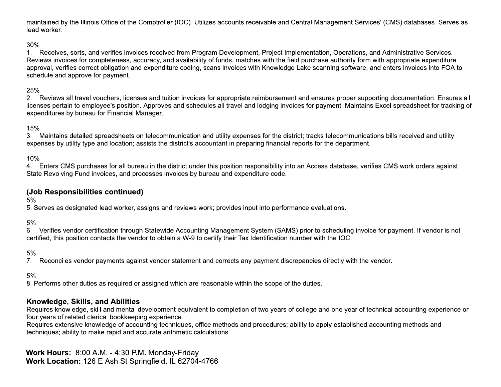maintained by the Illinois Office of the Comptroller (IOC). Utilizes accounts receivable and Central Management Services' (CMS) databases. Serves as lead worker.

#### $30%$

1. Receives, sorts, and verifies invoices received from Program Development, Project Implementation, Operations, and Administrative Services. Reviews invoices for completeness, accuracy, and availability of funds, matches with the field purchase authority form with appropriate expenditure approval, verifies correct obligation and expenditure coding, scans invoices with Knowledge Lake scanning software, and enters invoices into FOA to schedule and approve for payment.

#### 25%

2. Reviews all travel vouchers, licenses and tuition invoices for appropriate reimbursement and ensures proper supporting documentation. Ensures all licenses pertain to employee's position. Approves and schedules all travel and lodging invoices for payment. Maintains Excel spreadsheet for tracking of expenditures by bureau for Financial Manager.

#### 15%

3. Maintains detailed spreadsheets on telecommunication and utility expenses for the district; tracks telecommunications bills received and utility expenses by utility type and location; assists the district's accountant in preparing financial reports for the department.

10%

4. Enters CMS purchases for all bureau in the district under this position responsibility into an Access database, verifies CMS work orders against State Revolving Fund invoices, and processes invoices by bureau and expenditure code.

#### (Job Responsibilities continued)

 $5%$ 

5. Serves as designated lead worker, assigns and reviews work; provides input into performance evaluations.

 $5%$ 

6. Verifies vendor certification through Statewide Accounting Management System (SAMS) prior to scheduling invoice for payment. If vendor is not certified, this position contacts the vendor to obtain a W-9 to certify their Tax Identification number with the IOC.

 $5%$ 

7. Reconciles vendor payments against vendor statement and corrects any payment discrepancies directly with the vendor.

 $5%$ 

8. Performs other duties as required or assigned which are reasonable within the scope of the duties.

#### Knowledge, Skills, and Abilities

Requires knowledge, skill and mental development equivalent to completion of two years of college and one year of technical accounting experience or four years of related clerical bookkeeping experience.

Requires extensive knowledge of accounting techniques, office methods and procedures; ability to apply established accounting methods and techniques; ability to make rapid and accurate arithmetic calculations.

Work Hours: 8:00 A.M. - 4:30 P.M. Monday-Friday Work Location: 126 E Ash St Springfield, IL 62704-4766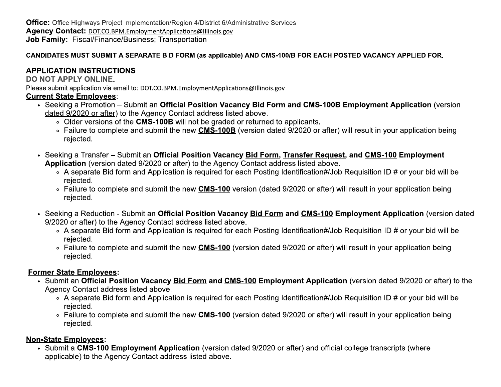**Office:** Office Highways Project Implementation/Region 4/District 6/Administrative Services Agency Contact: DOT.CO.BPM.EmploymentApplications@Illinois.gov **Job Family: Fiscal/Finance/Business: Transportation** 

### CANDIDATES MUST SUBMIT A SEPARATE BID FORM (as applicable) AND CMS-100/B FOR EACH POSTED VACANCY APPLIED FOR.

## **APPLICATION INSTRUCTIONS**

#### **DO NOT APPLY ONLINE.**

Please submit application via email to: DOT.CO.BPM.EmploymentApplications@Illinois.gov

## **Current State Employees:**

- Seeking a Promotion Submit an Official Position Vacancy Bid Form and CMS-100B Employment Application (version dated 9/2020 or after) to the Agency Contact address listed above.
	- . Older versions of the CMS-100B will not be graded or returned to applicants.
	- Failure to complete and submit the new CMS-100B (version dated 9/2020 or after) will result in your application being rejected.
- Seeking a Transfer Submit an Official Position Vacancy Bid Form, Transfer Request, and CMS-100 Employment Application (version dated 9/2020 or after) to the Agency Contact address listed above.
	- A separate Bid form and Application is required for each Posting Identification#/Job Requisition ID # or your bid will be rejected.
	- ∘ Failure to complete and submit the new CMS-100 version (dated 9/2020 or after) will result in your application being rejected.
- Seeking a Reduction Submit an Official Position Vacancy Bid Form and CMS-100 Employment Application (version dated 9/2020 or after) to the Agency Contact address listed above.
	- A separate Bid form and Application is required for each Posting Identification#/Job Requisition ID # or your bid will be rejected.
	- ∘ Failure to complete and submit the new CMS-100 (version dated 9/2020 or after) will result in your application being rejected.

## **Former State Employees:**

- Submit an Official Position Vacancy Bid Form and CMS-100 Employment Application (version dated 9/2020 or after) to the Agency Contact address listed above.
	- A separate Bid form and Application is required for each Posting Identification#/Job Requisition ID # or your bid will be rejected.
	- Failure to complete and submit the new CMS-100 (version dated 9/2020 or after) will result in your application being rejected.

## **Non-State Employees:**

• Submit a CMS-100 Employment Application (version dated 9/2020 or after) and official college transcripts (where applicable) to the Agency Contact address listed above.